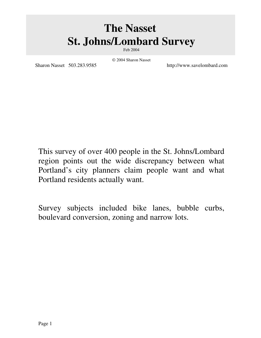# **The Nasset St. Johns/Lombard Survey**

Feb 2004

Sharon Nasset 503.283.9585 http://www.savelombard.com

© 2004 Sharon Nasset

This survey of over 400 people in the St. Johns/Lombard region points out the wide discrepancy between what Portland's city planners claim people want and what Portland residents actually want.

Survey subjects included bike lanes, bubble curbs, boulevard conversion, zoning and narrow lots.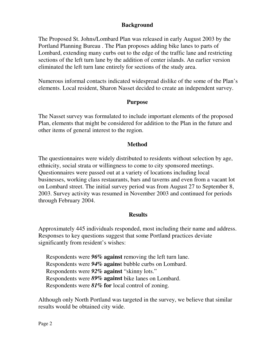#### **Background**

The Proposed St. Johns/Lombard Plan was released in early August 2003 by the Portland Planning Bureau . The Plan proposes adding bike lanes to parts of Lombard, extending many curbs out to the edge of the traffic lane and restricting sections of the left turn lane by the addition of center islands. An earlier version eliminated the left turn lane entirely for sections of the study area.

Numerous informal contacts indicated widespread dislike of the some of the Plan's elements. Local resident, Sharon Nasset decided to create an independent survey.

#### **Purpose**

The Nasset survey was formulated to include important elements of the proposed Plan, elements that might be considered for addition to the Plan in the future and other items of general interest to the region.

#### **Method**

The questionnaires were widely distributed to residents without selection by age, ethnicity, social strata or willingness to come to city sponsored meetings. Questionnaires were passed out at a variety of locations including local businesses, working class restaurants, bars and taverns and even from a vacant lot on Lombard street. The initial survey period was from August 27 to September 8, 2003. Survey activity was resumed in November 2003 and continued for periods through February 2004.

#### **Results**

Approximately 445 individuals responded, most including their name and address. Responses to key questions suggest that some Portland practices deviate significantly from resident's wishes:

Respondents were *96%* **against** removing the left turn lane. Respondents were *94%* **agains**t bubble curbs on Lombard. Respondents were *92%* **against** "skinny lots." Respondents were *89%* **against** bike lanes on Lombard. Respondents were *81%* **for** local control of zoning.

Although only North Portland was targeted in the survey, we believe that similar results would be obtained city wide.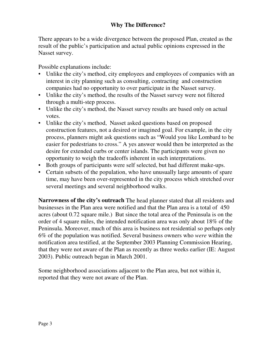### **Why The Difference?**

There appears to be a wide divergence between the proposed Plan, created as the result of the public's participation and actual public opinions expressed in the Nasset survey.

Possible explanations include:

- Unlike the city's method, city employees and employees of companies with an interest in city planning such as consulting, contracting and construction companies had no opportunity to over participate in the Nasset survey.
- Unlike the city's method, the results of the Nasset survey were not filtered through a multi-step process.
- Unlike the city's method, the Nasset survey results are based only on actual votes.
- Unlike the city's method, Nasset asked questions based on proposed construction features, not a desired or imagined goal. For example, in the city process, planners might ask questions such as "Would you like Lombard to be easier for pedestrians to cross." A yes answer would then be interpreted as the desire for extended curbs or center islands. The participants were given no opportunity to weigh the tradeoffs inherent in such interpretations.
- Both groups of participants were self selected, but had different make-ups.
- Certain subsets of the population, who have unusually large amounts of spare time, may have been over-represented in the city process which stretched over several meetings and several neighborhood walks.

**Narrowness of the city's outreach** The head planner stated that all residents and businesses in the Plan area were notified and that the Plan area is a total of 450 acres (about 0.72 square mile.) But since the total area of the Peninsula is on the order of 4 square miles, the intended notification area was only about 18% of the Peninsula. Moreover, much of this area is business not residential so perhaps only 6% of the population was notified. Several business owners who *were* within the notification area testified, at the September 2003 Planning Commission Hearing, that they were not aware of the Plan as recently as three weeks earlier (IE: August 2003). Public outreach began in March 2001.

Some neighborhood associations adjacent to the Plan area, but not within it, reported that they were not aware of the Plan.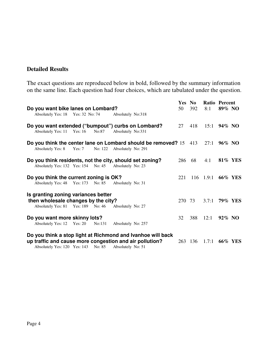### **Detailed Results**

The exact questions are reproduced below in bold, followed by the summary information on the same line. Each question had four choices, which are tabulated under the question.

|                                        |                                                                                        |          |         |                    |                                                                   |        | Yes No  |                      | Ratio Percent  |                |
|----------------------------------------|----------------------------------------------------------------------------------------|----------|---------|--------------------|-------------------------------------------------------------------|--------|---------|----------------------|----------------|----------------|
| Do you want bike lanes on Lombard?     |                                                                                        |          |         |                    |                                                                   | 50     | 392     | 8:1                  | 89% NO         |                |
|                                        | Absolutely Yes: 18 Yes: 32 No: 74                                                      |          |         | Absolutely No:318  |                                                                   |        |         |                      |                |                |
|                                        | Do you want extended ("bumpout") curbs on Lombard?<br>Absolutely Yes: 11 Yes: 16 No:87 |          |         | Absolutely No:331  |                                                                   | 27     | 418     | 15:1                 | 94% NO         |                |
|                                        |                                                                                        |          |         |                    | Do you think the center lane on Lombard should be removed? 15 413 |        |         |                      | 27:1 $96\%$ NO |                |
|                                        | <b>Absolutely Yes: 8</b>                                                               | Yes: $7$ | No: 122 | Absolutely No: 291 |                                                                   |        |         |                      |                |                |
|                                        | Do you think residents, not the city, should set zoning?                               |          |         |                    |                                                                   | 286    | 68      | 4:1                  |                | <b>81% YES</b> |
|                                        | Absolutely Yes: 132 Yes: 154 No: 45                                                    |          |         | Absolutely No: 23  |                                                                   |        |         |                      |                |                |
| Do you think the current zoning is OK? |                                                                                        |          |         |                    |                                                                   | 221    |         | 116 1.9:1 66% YES    |                |                |
|                                        | Absolutely Yes: 48 Yes: 173 No: 85                                                     |          |         | Absolutely No: 31  |                                                                   |        |         |                      |                |                |
|                                        | Is granting zoning variances better                                                    |          |         |                    |                                                                   |        |         |                      |                |                |
|                                        | then wholesale changes by the city?                                                    |          |         |                    |                                                                   | 270 73 |         | 3.7:1 <b>79% YES</b> |                |                |
|                                        | Absolutely Yes: 81 Yes: 189 No: 46                                                     |          |         | Absolutely No: 27  |                                                                   |        |         |                      |                |                |
| Do you want more skinny lots?          |                                                                                        |          |         |                    |                                                                   | 32     | 388     | 12:1                 | 92% NO         |                |
|                                        | Absolutely Yes: 12 Yes: 20                                                             |          | No:131  | Absolutely No: 257 |                                                                   |        |         |                      |                |                |
|                                        |                                                                                        |          |         |                    | Do you think a stop light at Richmond and Ivanhoe will back       |        |         |                      |                |                |
|                                        | up traffic and cause more congestion and air pollution?                                |          |         |                    |                                                                   |        | 263 136 | 1.7:1                |                | <b>66% YES</b> |
|                                        | Absolutely Yes: 120 Yes: 143                                                           |          | No: 85  | Absolutely No: 51  |                                                                   |        |         |                      |                |                |